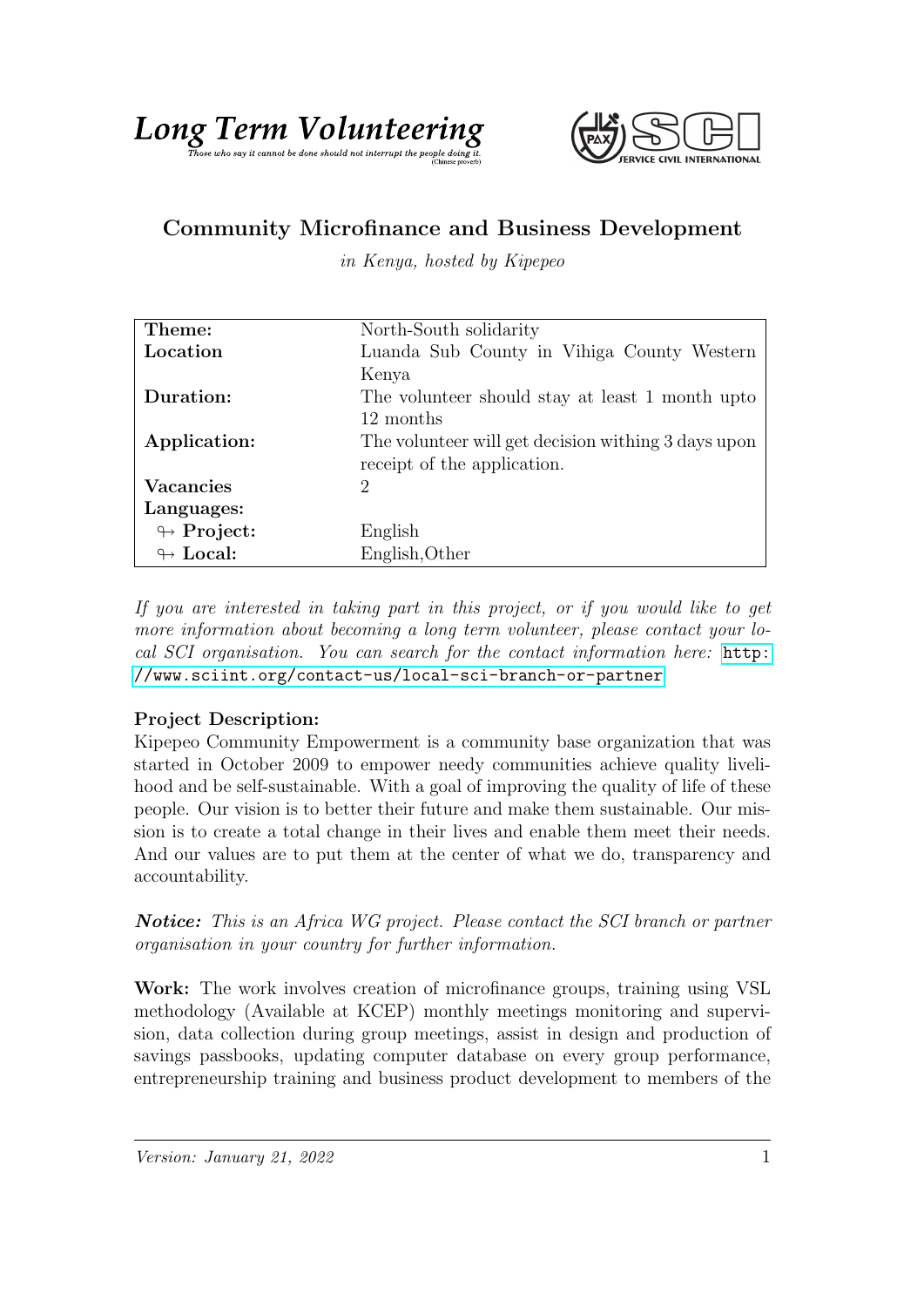



## Community Microfinance and Business Development

in Kenya, hosted by Kipepeo

| Theme:                     | North-South solidarity                              |
|----------------------------|-----------------------------------------------------|
| Location                   | Luanda Sub County in Vihiga County Western          |
|                            | Kenya                                               |
| Duration:                  | The volunteer should stay at least 1 month upto     |
|                            | 12 months                                           |
| Application:               | The volunteer will get decision withing 3 days upon |
|                            | receipt of the application.                         |
| <b>Vacancies</b>           | 2                                                   |
| Languages:                 |                                                     |
| $\looparrowright$ Project: | English                                             |
| $\leftrightarrow$ Local:   | English, Other                                      |

If you are interested in taking part in this project, or if you would like to get more information about becoming a long term volunteer, please contact your local SCI organisation. You can search for the contact information here: [http:](http://www.sciint.org/contact-us/local-sci-branch-or-partner) [//www.sciint.org/contact-us/local-sci-branch-or-partner](http://www.sciint.org/contact-us/local-sci-branch-or-partner)

## Project Description:

Kipepeo Community Empowerment is a community base organization that was started in October 2009 to empower needy communities achieve quality livelihood and be self-sustainable. With a goal of improving the quality of life of these people. Our vision is to better their future and make them sustainable. Our mission is to create a total change in their lives and enable them meet their needs. And our values are to put them at the center of what we do, transparency and accountability.

Notice: This is an Africa WG project. Please contact the SCI branch or partner organisation in your country for further information.

Work: The work involves creation of microfinance groups, training using VSL methodology (Available at KCEP) monthly meetings monitoring and supervision, data collection during group meetings, assist in design and production of savings passbooks, updating computer database on every group performance, entrepreneurship training and business product development to members of the